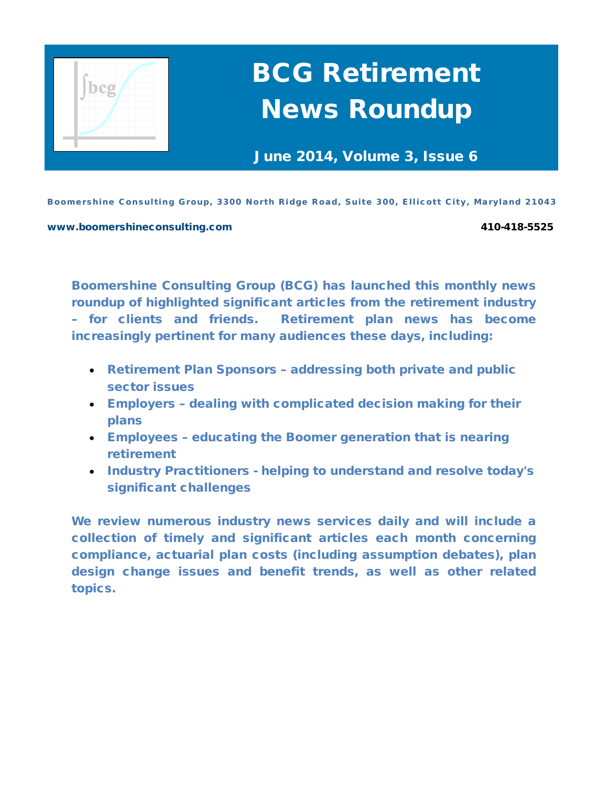

# BCG Retirement News Roundup

June 2014, Volume 3, Issue 6

Boomershine Consulting Group, 3300 North Ridge Road, Suite 300, Ellicott City, Maryland 21043

#### [www.boomershineconsulting.com](http://www.boomershineconsulting.com/) 410-418-5525

Boomershine Consulting Group (BCG) has launched this monthly news roundup of highlighted significant articles from the retirement industry – for clients and friends. Retirement plan news has become increasingly pertinent for many audiences these days, including:

- Retirement Plan Sponsors addressing both private and public sector issues
- Employers dealing with complicated decision making for their plans
- Employees educating the Boomer generation that is nearing retirement
- Industry Practitioners helping to understand and resolve today's significant challenges

We review numerous industry news services daily and will include a collection of timely and significant articles each month concerning compliance, actuarial plan costs (including assumption debates), plan design change issues and benefit trends, as well as other related topics.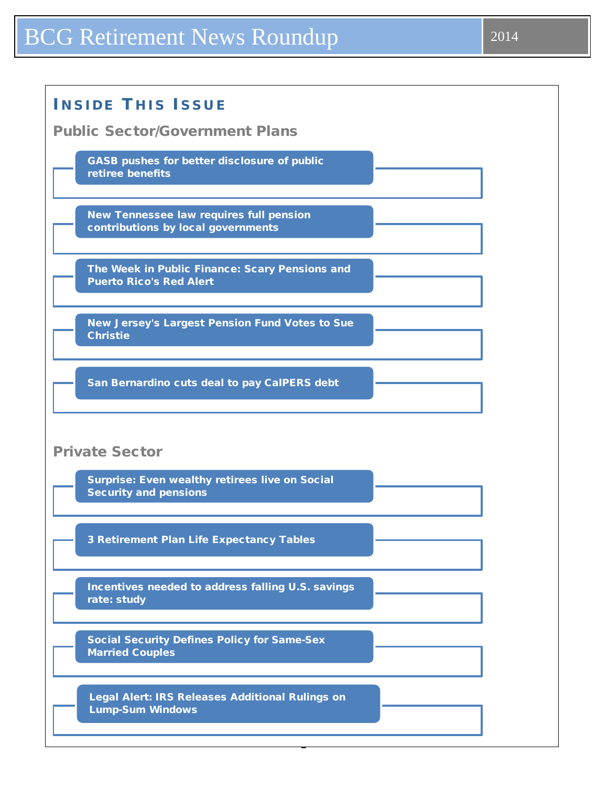## BCG Retirement News Roundup 2014

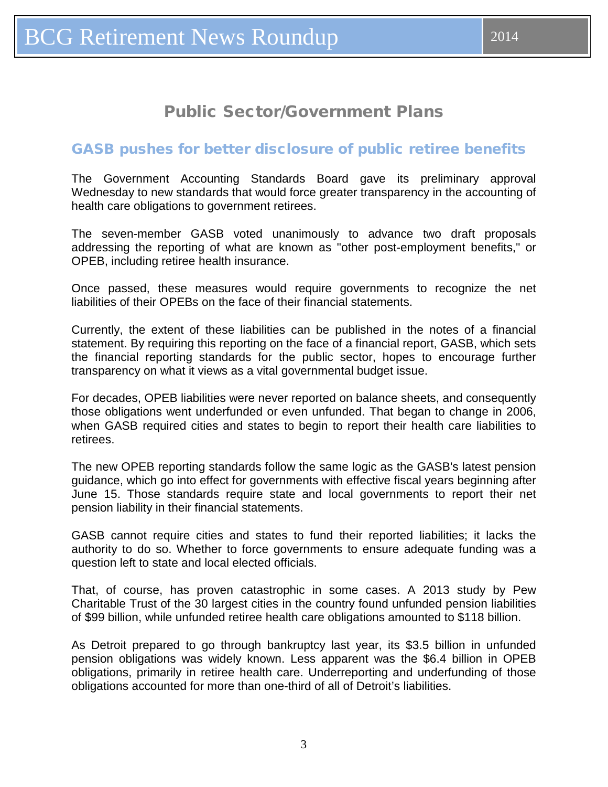#### <span id="page-2-0"></span>GASB pushes for better disclosure of public retiree benefits

The Government Accounting Standards Board gave its preliminary approval Wednesday to new standards that would force greater transparency in the accounting of health care obligations to government retirees.

The seven-member GASB voted unanimously to advance two draft proposals addressing the reporting of what are known as "other post-employment benefits," or OPEB, including retiree health insurance.

Once passed, these measures would require governments to recognize the net liabilities of their OPEBs on the face of their financial statements.

Currently, the extent of these liabilities can be published in the notes of a financial statement. By requiring this reporting on the face of a financial report, GASB, which sets the financial reporting standards for the public sector, hopes to encourage further transparency on what it views as a vital governmental budget issue.

For decades, OPEB liabilities were never reported on balance sheets, and consequently those obligations went underfunded or even unfunded. That began to change in 2006, when GASB required cities and states to begin to report their health care liabilities to retirees.

The new OPEB reporting standards follow the same logic as the GASB's latest pension guidance, which go into effect for governments with effective fiscal years beginning after June 15. Those standards require state and local governments to report their net pension liability in their financial statements.

GASB cannot require cities and states to fund their reported liabilities; it lacks the authority to do so. Whether to force governments to ensure adequate funding was a question left to state and local elected officials.

That, of course, has proven catastrophic in some cases. A 2013 study by Pew Charitable Trust of the 30 largest cities in the country found unfunded pension liabilities of \$99 billion, while unfunded retiree health care obligations amounted to \$118 billion.

As Detroit prepared to go through bankruptcy last year, its \$3.5 billion in unfunded pension obligations was widely known. Less apparent was the \$6.4 billion in OPEB obligations, primarily in retiree health care. Underreporting and underfunding of those obligations accounted for more than one-third of all of Detroit's liabilities.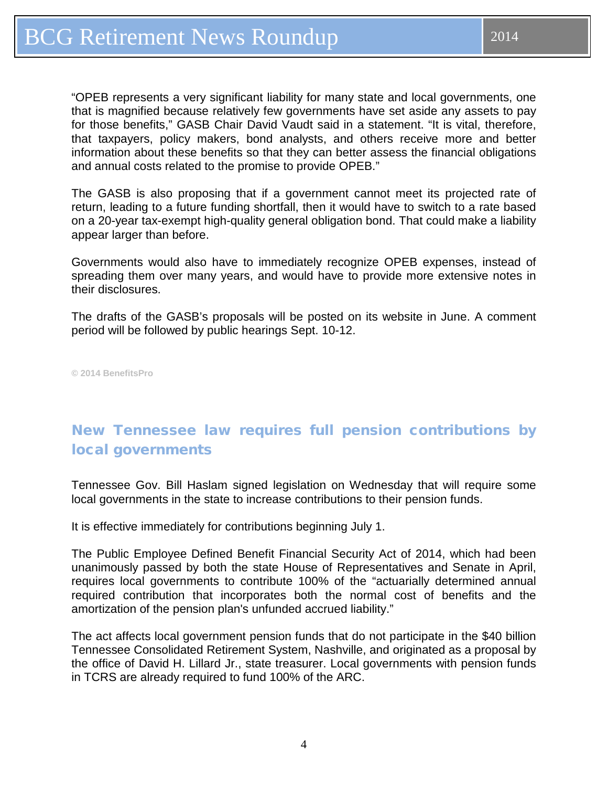<span id="page-3-0"></span>"OPEB represents a very significant liability for many state and local governments, one that is magnified because relatively few governments have set aside any assets to pay for those benefits," GASB Chair David Vaudt said in a statement. "It is vital, therefore, that taxpayers, policy makers, bond analysts, and others receive more and better information about these benefits so that they can better assess the financial obligations and annual costs related to the promise to provide OPEB."

The GASB is also proposing that if a government cannot meet its projected rate of return, leading to a future funding shortfall, then it would have to switch to a rate based on a 20-year tax-exempt high-quality general obligation bond. That could make a liability appear larger than before.

Governments would also have to immediately recognize OPEB expenses, instead of spreading them over many years, and would have to provide more extensive notes in their disclosures.

The drafts of the GASB's proposals will be posted on its website in June. A comment period will be followed by public hearings Sept. 10-12.

**© 2014 BenefitsPro**

## New Tennessee law requires full pension contributions by local governments

Tennessee Gov. Bill Haslam signed legislation on Wednesday that will require some local governments in the state to increase contributions to their pension funds.

It is effective immediately for contributions beginning July 1.

The Public Employee Defined Benefit Financial Security Act of 2014, which had been unanimously passed by both the state House of Representatives and Senate in April, requires local governments to contribute 100% of the "actuarially determined annual required contribution that incorporates both the normal cost of benefits and the amortization of the pension plan's unfunded accrued liability."

The act affects local government pension funds that do not participate in the \$40 billion Tennessee Consolidated Retirement System, Nashville, and originated as a proposal by the office of David H. Lillard Jr., state treasurer. Local governments with pension funds in TCRS are already required to fund 100% of the ARC.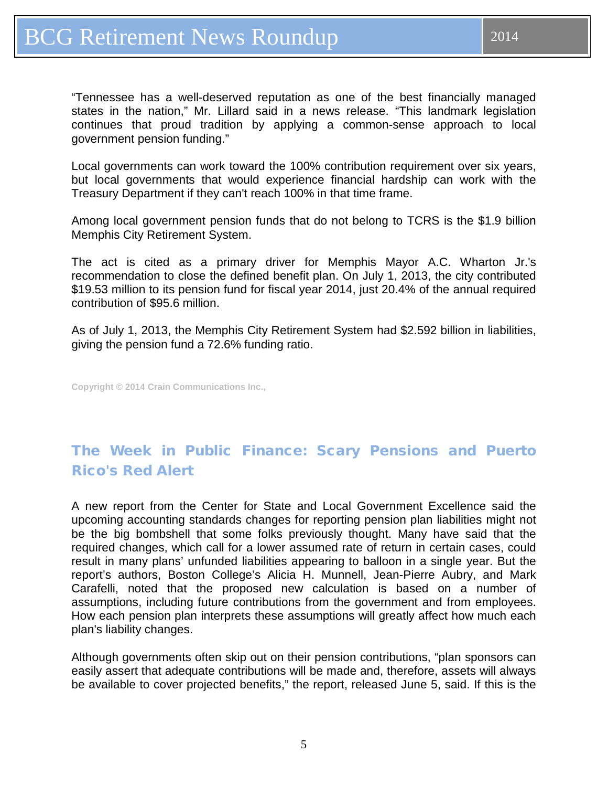<span id="page-4-0"></span>"Tennessee has a well-deserved reputation as one of the best financially managed states in the nation," Mr. Lillard said in a news release. "This landmark legislation continues that proud tradition by applying a common-sense approach to local government pension funding."

Local governments can work toward the 100% contribution requirement over six years, but local governments that would experience financial hardship can work with the Treasury Department if they can't reach 100% in that time frame.

Among local government pension funds that do not belong to TCRS is the \$1.9 billion Memphis City Retirement System.

The act is cited as a primary driver for Memphis Mayor A.C. Wharton Jr.'s recommendation to close the defined benefit plan. On July 1, 2013, the city contributed \$19.53 million to its pension fund for fiscal year 2014, just 20.4% of the annual required contribution of \$95.6 million.

As of July 1, 2013, the Memphis City Retirement System had \$2.592 billion in liabilities, giving the pension fund a 72.6% funding ratio.

**Copyright © 2014 Crain Communications Inc.,**

## The Week in Public Finance: Scary Pensions and Puerto Rico's Red Alert

A new report from the Center for State and Local Government Excellence said the upcoming accounting standards changes for reporting pension plan liabilities might not be the big bombshell that some folks previously thought. Many have said that the required changes, which call for a lower assumed rate of return in certain cases, could result in many plans' unfunded liabilities appearing to balloon in a single year. But the report's authors, Boston College's Alicia H. Munnell, Jean-Pierre Aubry, and Mark Carafelli, noted that the proposed new calculation is based on a number of assumptions, including future contributions from the government and from employees. How each pension plan interprets these assumptions will greatly affect how much each plan's liability changes.

Although governments often skip out on their pension contributions, "plan sponsors can easily assert that adequate contributions will be made and, therefore, assets will always be available to cover projected benefits," the report, released June 5, said. If this is the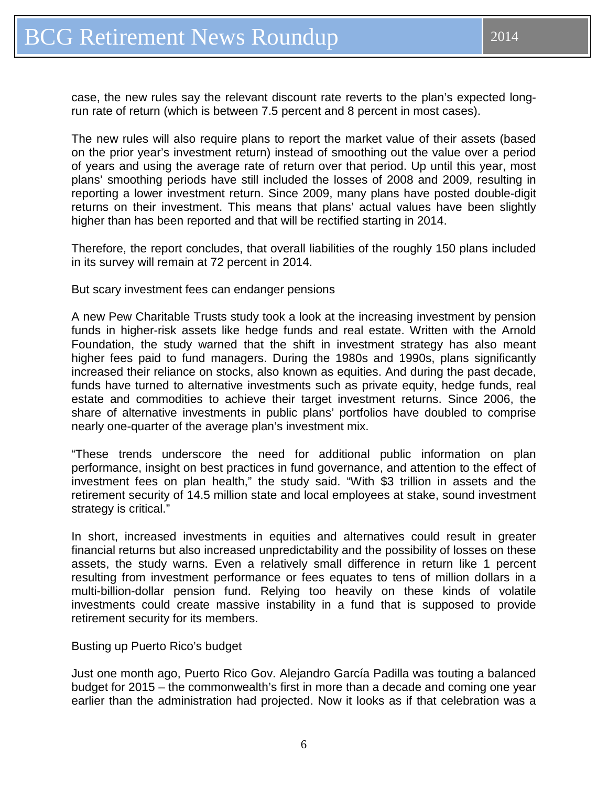case, the new rules say the relevant discount rate reverts to the plan's expected longrun rate of return (which is between 7.5 percent and 8 percent in most cases).

The new rules will also require plans to report the market value of their assets (based on the prior year's investment return) instead of smoothing out the value over a period of years and using the average rate of return over that period. Up until this year, most plans' smoothing periods have still included the losses of 2008 and 2009, resulting in reporting a lower investment return. Since 2009, many plans have posted double-digit returns on their investment. This means that plans' actual values have been slightly higher than has been reported and that will be rectified starting in 2014.

Therefore, the report concludes, that overall liabilities of the roughly 150 plans included in its survey will remain at 72 percent in 2014.

But scary investment fees can endanger pensions

A new Pew Charitable Trusts study took a look at the increasing investment by pension funds in higher-risk assets like hedge funds and real estate. Written with the Arnold Foundation, the study warned that the shift in investment strategy has also meant higher fees paid to fund managers. During the 1980s and 1990s, plans significantly increased their reliance on stocks, also known as equities. And during the past decade, funds have turned to alternative investments such as private equity, hedge funds, real estate and commodities to achieve their target investment returns. Since 2006, the share of alternative investments in public plans' portfolios have doubled to comprise nearly one-quarter of the average plan's investment mix.

"These trends underscore the need for additional public information on plan performance, insight on best practices in fund governance, and attention to the effect of investment fees on plan health," the study said. "With \$3 trillion in assets and the retirement security of 14.5 million state and local employees at stake, sound investment strategy is critical."

In short, increased investments in equities and alternatives could result in greater financial returns but also increased unpredictability and the possibility of losses on these assets, the study warns. Even a relatively small difference in return like 1 percent resulting from investment performance or fees equates to tens of million dollars in a multi-billion-dollar pension fund. Relying too heavily on these kinds of volatile investments could create massive instability in a fund that is supposed to provide retirement security for its members.

Busting up Puerto Rico's budget

Just one month ago, Puerto Rico Gov. Alejandro García Padilla was touting a balanced budget for 2015 – the commonwealth's first in more than a decade and coming one year earlier than the administration had projected. Now it looks as if that celebration was a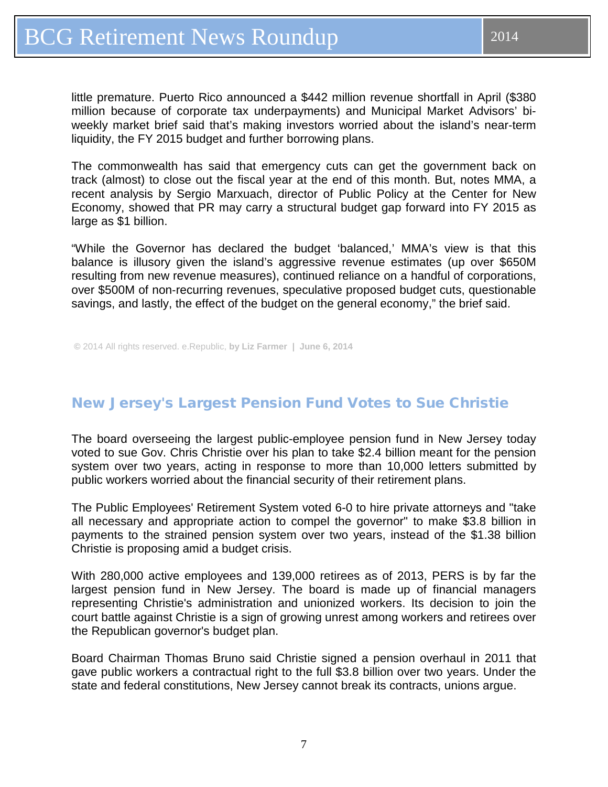<span id="page-6-0"></span>little premature. Puerto Rico announced a \$442 million revenue shortfall in April (\$380 million because of corporate tax underpayments) and Municipal Market Advisors' biweekly market brief said that's making investors worried about the island's near-term liquidity, the FY 2015 budget and further borrowing plans.

The commonwealth has said that emergency cuts can get the government back on track (almost) to close out the fiscal year at the end of this month. But, notes MMA, a recent analysis by Sergio Marxuach, director of Public Policy at the Center for New Economy, showed that PR may carry a structural budget gap forward into FY 2015 as large as \$1 billion.

"While the Governor has declared the budget 'balanced,' MMA's view is that this balance is illusory given the island's aggressive revenue estimates (up over \$650M resulting from new revenue measures), continued reliance on a handful of corporations, over \$500M of non‐recurring revenues, speculative proposed budget cuts, questionable savings, and lastly, the effect of the budget on the general economy," the brief said.

**©** 2014 All rights reserved. e.Republic, **by Liz Farmer | June 6, 2014**

#### New Jersey's Largest Pension Fund Votes to Sue Christie

The board overseeing the largest public-employee pension fund in New Jersey today voted to sue Gov. Chris Christie over his plan to take \$2.4 billion meant for the pension system over two years, acting in response to more than 10,000 letters submitted by public workers worried about the financial security of their retirement plans.

The Public Employees' Retirement System voted 6-0 to hire private attorneys and "take all necessary and appropriate action to compel the governor" to make \$3.8 billion in payments to the strained pension system over two years, instead of the \$1.38 billion Christie is proposing amid a budget crisis.

With 280,000 active employees and 139,000 retirees as of 2013, PERS is by far the largest pension fund in New Jersey. The board is made up of financial managers representing Christie's administration and unionized workers. Its decision to join the court battle against Christie is a sign of growing unrest among workers and retirees over the Republican governor's budget plan.

Board Chairman Thomas Bruno said Christie signed a pension overhaul in 2011 that gave public workers a contractual right to the full \$3.8 billion over two years. Under the state and federal constitutions, New Jersey cannot break its contracts, unions argue.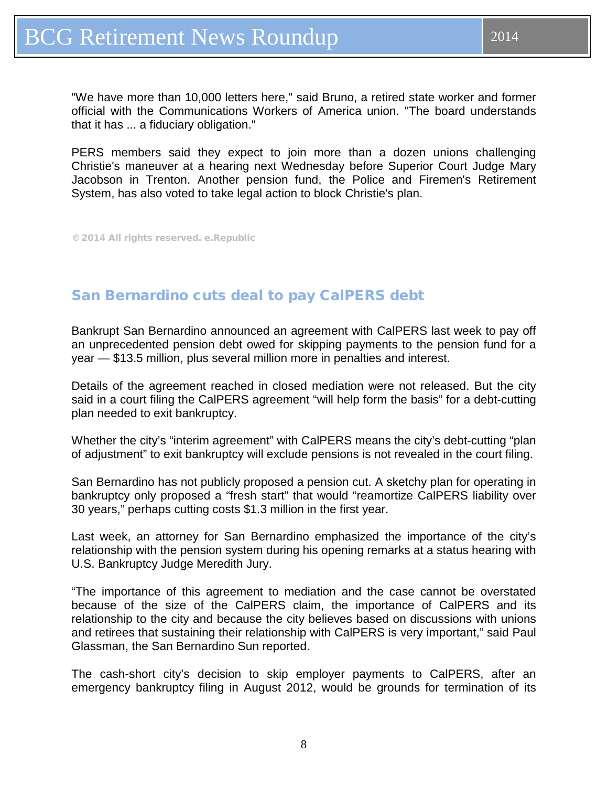<span id="page-7-0"></span>"We have more than 10,000 letters here," said Bruno, a retired state worker and former official with the Communications Workers of America union. "The board understands that it has ... a fiduciary obligation."

PERS members said they expect to join more than a dozen unions challenging Christie's maneuver at a hearing next Wednesday before Superior Court Judge Mary Jacobson in Trenton. Another pension fund, the Police and Firemen's Retirement System, has also voted to take legal action to block Christie's plan.

© 2014 All rights reserved. e.Republic

#### San Bernardino cuts deal to pay CalPERS debt

Bankrupt San Bernardino announced an agreement with CalPERS last week to pay off an unprecedented pension debt owed for skipping payments to the pension fund for a year — \$13.5 million, plus several million more in penalties and interest.

Details of the agreement reached in closed mediation were not released. But the city said in a court filing the CalPERS agreement "will help form the basis" for a debt-cutting plan needed to exit bankruptcy.

Whether the city's "interim agreement" with CalPERS means the city's debt-cutting "plan of adjustment" to exit bankruptcy will exclude pensions is not revealed in the court filing.

San Bernardino has not publicly proposed a pension cut. A sketchy plan for operating in bankruptcy only proposed a "fresh start" that would "reamortize CalPERS liability over 30 years," perhaps cutting costs \$1.3 million in the first year.

Last week, an attorney for San Bernardino emphasized the importance of the city's relationship with the pension system during his opening remarks at a status hearing with U.S. Bankruptcy Judge Meredith Jury.

"The importance of this agreement to mediation and the case cannot be overstated because of the size of the CalPERS claim, the importance of CalPERS and its relationship to the city and because the city believes based on discussions with unions and retirees that sustaining their relationship with CalPERS is very important," said Paul Glassman, the San Bernardino Sun reported.

The cash-short city's decision to skip employer payments to CalPERS, after an emergency bankruptcy filing in August 2012, would be grounds for termination of its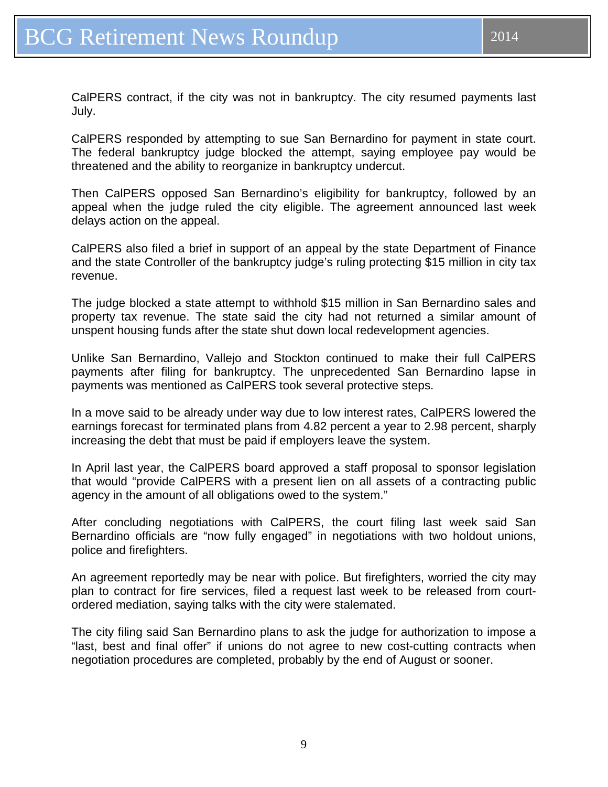CalPERS responded by attempting to sue San Bernardino for payment in state court. The federal bankruptcy judge blocked the attempt, saying employee pay would be threatened and the ability to reorganize in bankruptcy undercut.

Then CalPERS opposed San Bernardino's eligibility for bankruptcy, followed by an appeal when the judge ruled the city eligible. The agreement announced last week delays action on the appeal.

CalPERS also filed a brief in support of an appeal by the state Department of Finance and the state Controller of the bankruptcy judge's ruling protecting \$15 million in city tax revenue.

The judge blocked a state attempt to withhold \$15 million in San Bernardino sales and property tax revenue. The state said the city had not returned a similar amount of unspent housing funds after the state shut down local redevelopment agencies.

Unlike San Bernardino, Vallejo and Stockton continued to make their full CalPERS payments after filing for bankruptcy. The unprecedented San Bernardino lapse in payments was mentioned as CalPERS took several protective steps.

In a move said to be already under way due to low interest rates, CalPERS lowered the earnings forecast for terminated plans from 4.82 percent a year to 2.98 percent, sharply increasing the debt that must be paid if employers leave the system.

In April last year, the CalPERS board approved a staff proposal to sponsor legislation that would "provide CalPERS with a present lien on all assets of a contracting public agency in the amount of all obligations owed to the system."

After concluding negotiations with CalPERS, the court filing last week said San Bernardino officials are "now fully engaged" in negotiations with two holdout unions, police and firefighters.

An agreement reportedly may be near with police. But firefighters, worried the city may plan to contract for fire services, filed a request last week to be released from courtordered mediation, saying talks with the city were stalemated.

The city filing said San Bernardino plans to ask the judge for authorization to impose a "last, best and final offer" if unions do not agree to new cost-cutting contracts when negotiation procedures are completed, probably by the end of August or sooner.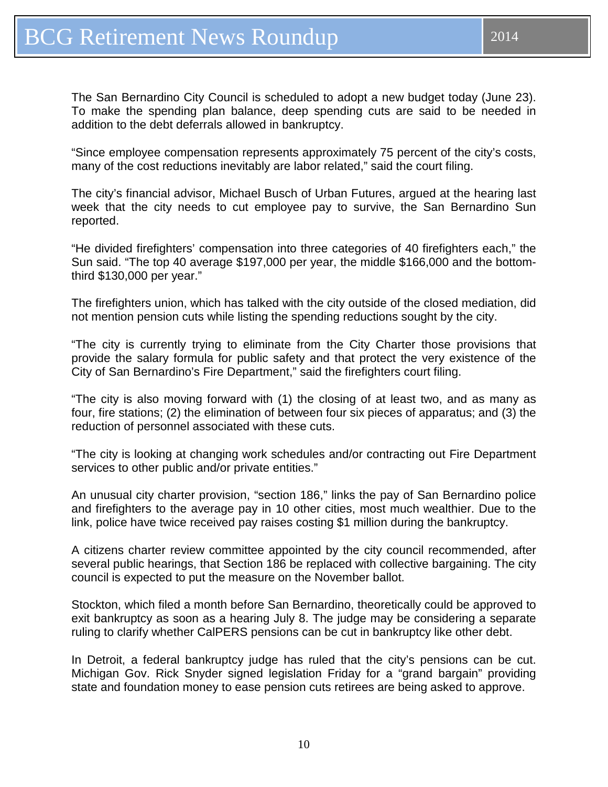The San Bernardino City Council is scheduled to adopt a new budget today (June 23). To make the spending plan balance, deep spending cuts are said to be needed in addition to the debt deferrals allowed in bankruptcy.

"Since employee compensation represents approximately 75 percent of the city's costs, many of the cost reductions inevitably are labor related," said the court filing.

The city's financial advisor, Michael Busch of Urban Futures, argued at the hearing last week that the city needs to cut employee pay to survive, the San Bernardino Sun reported.

"He divided firefighters' compensation into three categories of 40 firefighters each," the Sun said. "The top 40 average \$197,000 per year, the middle \$166,000 and the bottomthird \$130,000 per year."

The firefighters union, which has talked with the city outside of the closed mediation, did not mention pension cuts while listing the spending reductions sought by the city.

"The city is currently trying to eliminate from the City Charter those provisions that provide the salary formula for public safety and that protect the very existence of the City of San Bernardino's Fire Department," said the firefighters court filing.

"The city is also moving forward with (1) the closing of at least two, and as many as four, fire stations; (2) the elimination of between four six pieces of apparatus; and (3) the reduction of personnel associated with these cuts.

"The city is looking at changing work schedules and/or contracting out Fire Department services to other public and/or private entities."

An unusual city charter provision, "section 186," links the pay of San Bernardino police and firefighters to the average pay in 10 other cities, most much wealthier. Due to the link, police have twice received pay raises costing \$1 million during the bankruptcy.

A citizens charter review committee appointed by the city council recommended, after several public hearings, that Section 186 be replaced with collective bargaining. The city council is expected to put the measure on the November ballot.

Stockton, which filed a month before San Bernardino, theoretically could be approved to exit bankruptcy as soon as a hearing July 8. The judge may be considering a separate ruling to clarify whether CalPERS pensions can be cut in bankruptcy like other debt.

In Detroit, a federal bankruptcy judge has ruled that the city's pensions can be cut. Michigan Gov. Rick Snyder signed legislation Friday for a "grand bargain" providing state and foundation money to ease pension cuts retirees are being asked to approve.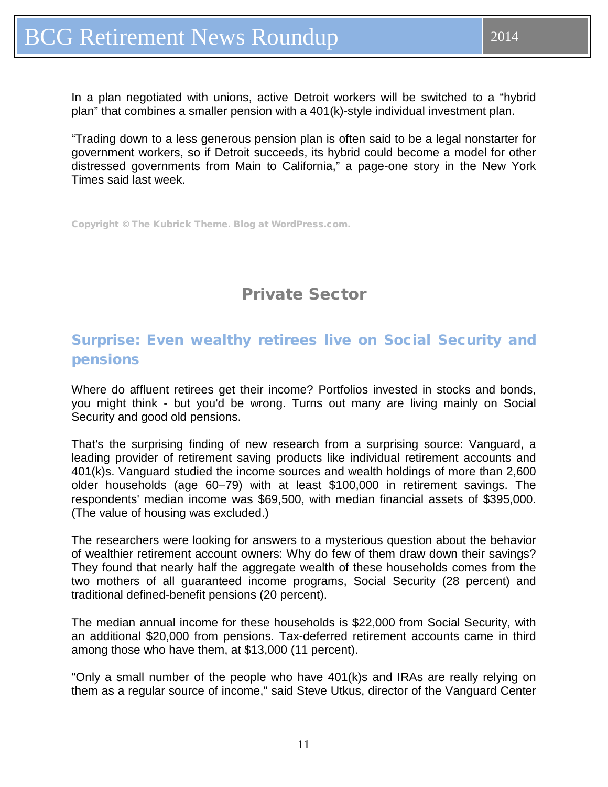<span id="page-10-0"></span>In a plan negotiated with unions, active Detroit workers will be switched to a "hybrid plan" that combines a smaller pension with a 401(k)-style individual investment plan.

"Trading down to a less generous pension plan is often said to be a legal nonstarter for government workers, so if Detroit succeeds, its hybrid could become a model for other distressed governments from Main to California," a page-one story in the New York Times said last week.

Copyright © The Kubrick Theme. Blog at WordPress.com.

## Private Sector

### Surprise: Even wealthy retirees live on Social Security and pensions

Where do affluent retirees get their income? Portfolios invested in stocks and bonds, you might think - but you'd be wrong. Turns out many are living mainly on Social Security and good old pensions.

That's the surprising finding of new research from a surprising source: Vanguard, a leading provider of retirement saving products like individual retirement accounts and 401(k)s. Vanguard studied the income sources and wealth holdings of more than 2,600 older households (age 60–79) with at least \$100,000 in retirement savings. The respondents' median income was \$69,500, with median financial assets of \$395,000. (The value of housing was excluded.)

The researchers were looking for answers to a mysterious question about the behavior of wealthier retirement account owners: Why do few of them draw down their savings? They found that nearly half the aggregate wealth of these households comes from the two mothers of all guaranteed income programs, Social Security (28 percent) and traditional defined-benefit pensions (20 percent).

The median annual income for these households is \$22,000 from Social Security, with an additional \$20,000 from pensions. Tax-deferred retirement accounts came in third among those who have them, at \$13,000 (11 percent).

"Only a small number of the people who have 401(k)s and IRAs are really relying on them as a regular source of income," said Steve Utkus, director of the Vanguard Center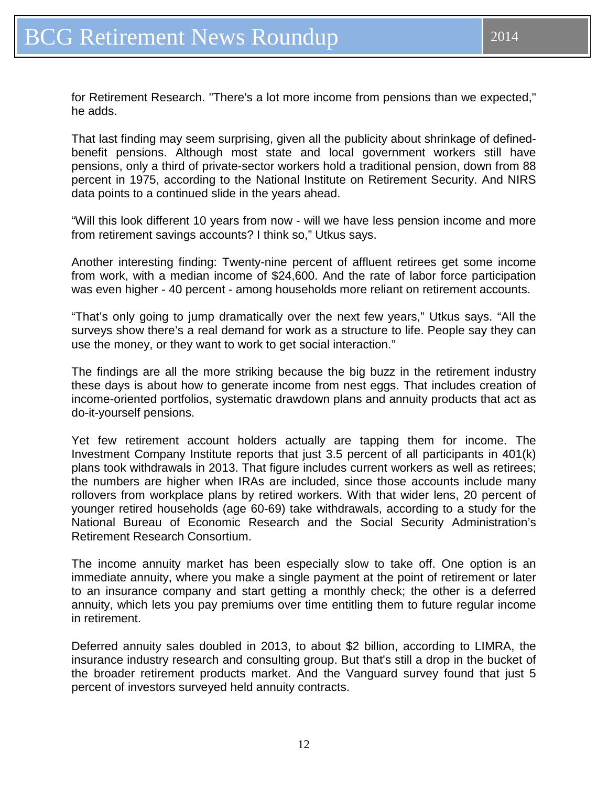for Retirement Research. "There's a lot more income from pensions than we expected," he adds.

That last finding may seem surprising, given all the publicity about shrinkage of definedbenefit pensions. Although most state and local government workers still have pensions, only a third of private-sector workers hold a traditional pension, down from 88 percent in 1975, according to the National Institute on Retirement Security. And NIRS data points to a continued slide in the years ahead.

"Will this look different 10 years from now - will we have less pension income and more from retirement savings accounts? I think so," Utkus says.

Another interesting finding: Twenty-nine percent of affluent retirees get some income from work, with a median income of \$24,600. And the rate of labor force participation was even higher - 40 percent - among households more reliant on retirement accounts.

"That's only going to jump dramatically over the next few years," Utkus says. "All the surveys show there's a real demand for work as a structure to life. People say they can use the money, or they want to work to get social interaction."

The findings are all the more striking because the big buzz in the retirement industry these days is about how to generate income from nest eggs. That includes creation of income-oriented portfolios, systematic drawdown plans and annuity products that act as do-it-yourself pensions.

Yet few retirement account holders actually are tapping them for income. The Investment Company Institute reports that just 3.5 percent of all participants in 401(k) plans took withdrawals in 2013. That figure includes current workers as well as retirees; the numbers are higher when IRAs are included, since those accounts include many rollovers from workplace plans by retired workers. With that wider lens, 20 percent of younger retired households (age 60-69) take withdrawals, according to a study for the National Bureau of Economic Research and the Social Security Administration's Retirement Research Consortium.

The income annuity market has been especially slow to take off. One option is an immediate annuity, where you make a single payment at the point of retirement or later to an insurance company and start getting a monthly check; the other is a deferred annuity, which lets you pay premiums over time entitling them to future regular income in retirement.

Deferred annuity sales doubled in 2013, to about \$2 billion, according to LIMRA, the insurance industry research and consulting group. But that's still a drop in the bucket of the broader retirement products market. And the Vanguard survey found that just 5 percent of investors surveyed held annuity contracts.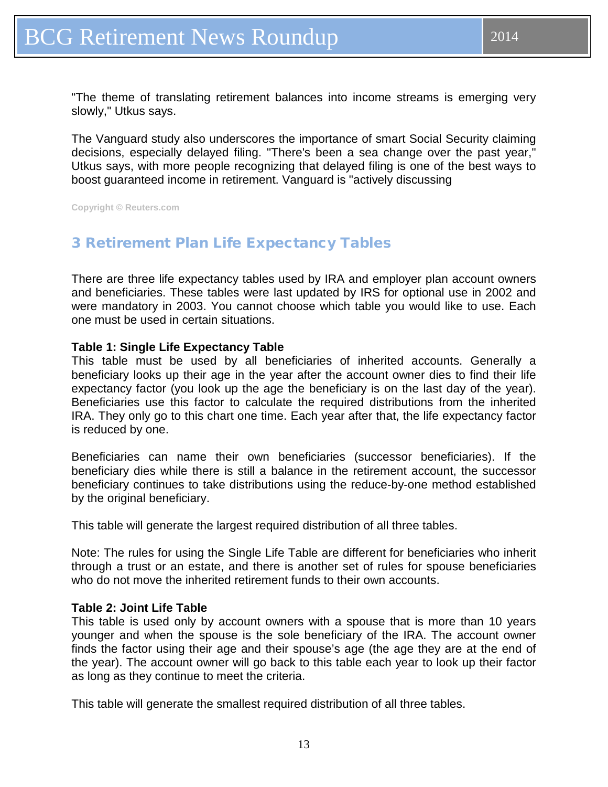<span id="page-12-0"></span>"The theme of translating retirement balances into income streams is emerging very slowly," Utkus says.

The Vanguard study also underscores the importance of smart Social Security claiming decisions, especially delayed filing. "There's been a sea change over the past year," Utkus says, with more people recognizing that delayed filing is one of the best ways to boost guaranteed income in retirement. Vanguard is "actively discussing

**Copyright © Reuters.com**

#### 3 Retirement Plan Life Expectancy Tables

There are three life expectancy tables used by IRA and employer plan account owners and beneficiaries. These tables were last updated by IRS for optional use in 2002 and were mandatory in 2003. You cannot choose which table you would like to use. Each one must be used in certain situations.

#### **Table 1: Single Life Expectancy Table**

This table must be used by all beneficiaries of inherited accounts. Generally a beneficiary looks up their age in the year after the account owner dies to find their life expectancy factor (you look up the age the beneficiary is on the last day of the year). Beneficiaries use this factor to calculate the required distributions from the inherited IRA. They only go to this chart one time. Each year after that, the life expectancy factor is reduced by one.

Beneficiaries can name their own beneficiaries (successor beneficiaries). If the beneficiary dies while there is still a balance in the retirement account, the successor beneficiary continues to take distributions using the reduce-by-one method established by the original beneficiary.

This table will generate the largest required distribution of all three tables.

Note: The rules for using the Single Life Table are different for beneficiaries who inherit through a trust or an estate, and there is another set of rules for spouse beneficiaries who do not move the inherited retirement funds to their own accounts.

#### **Table 2: Joint Life Table**

This table is used only by account owners with a spouse that is more than 10 years younger and when the spouse is the sole beneficiary of the IRA. The account owner finds the factor using their age and their spouse's age (the age they are at the end of the year). The account owner will go back to this table each year to look up their factor as long as they continue to meet the criteria.

This table will generate the smallest required distribution of all three tables.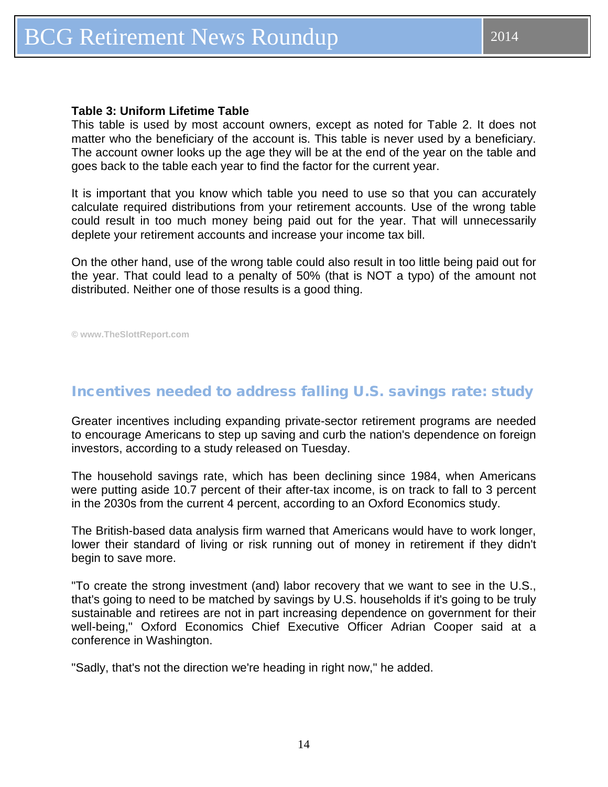#### <span id="page-13-0"></span>**Table 3: Uniform Lifetime Table**

This table is used by most account owners, except as noted for Table 2. It does not matter who the beneficiary of the account is. This table is never used by a beneficiary. The account owner looks up the age they will be at the end of the year on the table and goes back to the table each year to find the factor for the current year.

It is important that you know which table you need to use so that you can accurately calculate required distributions from your retirement accounts. Use of the wrong table could result in too much money being paid out for the year. That will unnecessarily deplete your retirement accounts and increase your income tax bill.

On the other hand, use of the wrong table could also result in too little being paid out for the year. That could lead to a penalty of 50% (that is NOT a typo) of the amount not distributed. Neither one of those results is a good thing.

**© www.TheSlottReport.com** 

#### Incentives needed to address falling U.S. savings rate: study

Greater incentives including expanding private-sector retirement programs are needed to encourage Americans to step up saving and curb the nation's dependence on foreign investors, according to a study released on Tuesday.

The household savings rate, which has been declining since 1984, when Americans were putting aside 10.7 percent of their after-tax income, is on track to fall to 3 percent in the 2030s from the current 4 percent, according to an Oxford Economics study.

The British-based data analysis firm warned that Americans would have to work longer, lower their standard of living or risk running out of money in retirement if they didn't begin to save more.

"To create the strong investment (and) labor recovery that we want to see in the U.S., that's going to need to be matched by savings by U.S. households if it's going to be truly sustainable and retirees are not in part increasing dependence on government for their well-being," Oxford Economics Chief Executive Officer Adrian Cooper said at a conference in Washington.

"Sadly, that's not the direction we're heading in right now," he added.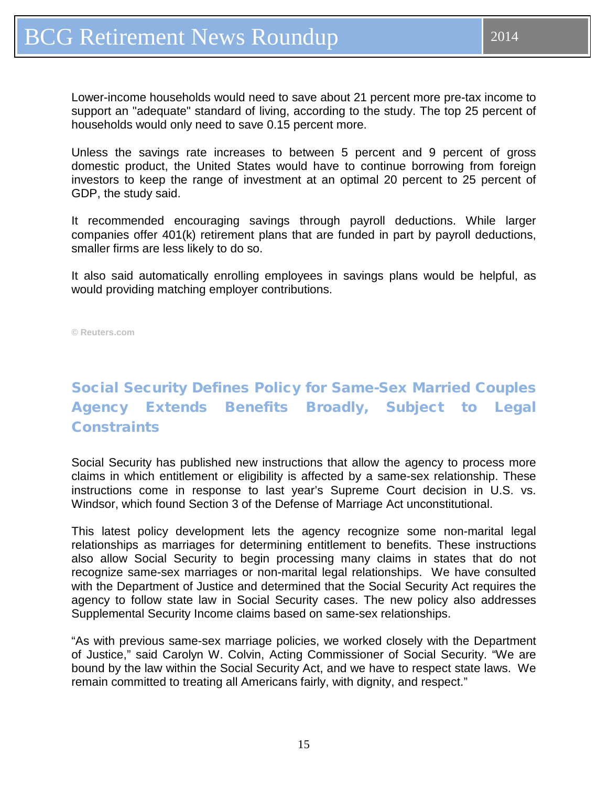<span id="page-14-0"></span>Lower-income households would need to save about 21 percent more pre-tax income to support an "adequate" standard of living, according to the study. The top 25 percent of households would only need to save 0.15 percent more.

Unless the savings rate increases to between 5 percent and 9 percent of gross domestic product, the United States would have to continue borrowing from foreign investors to keep the range of investment at an optimal 20 percent to 25 percent of GDP, the study said.

It recommended encouraging savings through payroll deductions. While larger companies offer 401(k) retirement plans that are funded in part by payroll deductions, smaller firms are less likely to do so.

It also said automatically enrolling employees in savings plans would be helpful, as would providing matching employer contributions.

**© Reuters.com**

## Social Security Defines Policy for Same-Sex Married Couples Agency Extends Benefits Broadly, Subject to Legal **Constraints**

Social Security has published new instructions that allow the agency to process more claims in which entitlement or eligibility is affected by a same-sex relationship. These instructions come in response to last year's Supreme Court decision in U.S. vs. Windsor, which found Section 3 of the Defense of Marriage Act unconstitutional.

This latest policy development lets the agency recognize some non-marital legal relationships as marriages for determining entitlement to benefits. These instructions also allow Social Security to begin processing many claims in states that do not recognize same-sex marriages or non-marital legal relationships. We have consulted with the Department of Justice and determined that the Social Security Act requires the agency to follow state law in Social Security cases. The new policy also addresses Supplemental Security Income claims based on same-sex relationships.

"As with previous same-sex marriage policies, we worked closely with the Department of Justice," said Carolyn W. Colvin, Acting Commissioner of Social Security. "We are bound by the law within the Social Security Act, and we have to respect state laws. We remain committed to treating all Americans fairly, with dignity, and respect."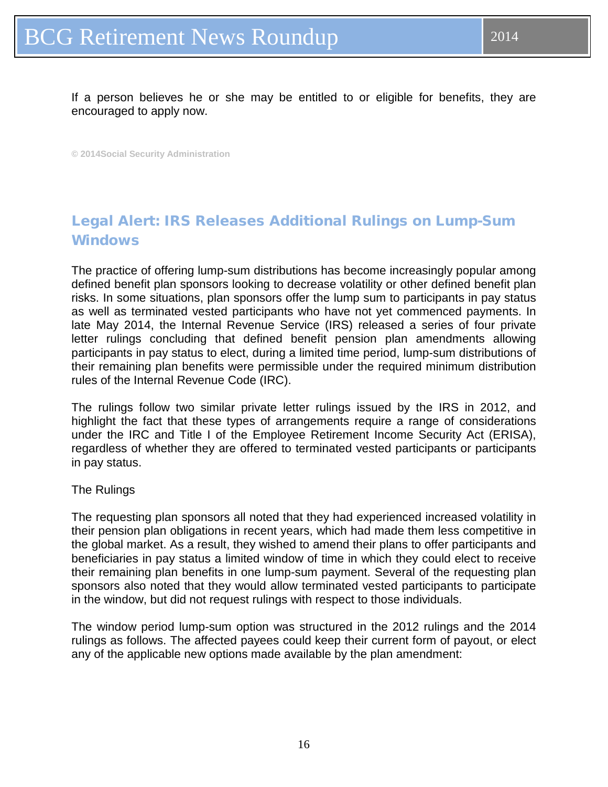<span id="page-15-0"></span>If a person believes he or she may be entitled to or eligible for benefits, they are encouraged to apply now.

**© 2014Social Security Administration**

## Legal Alert: IRS Releases Additional Rulings on Lump-Sum **Windows**

The practice of offering lump-sum distributions has become increasingly popular among defined benefit plan sponsors looking to decrease volatility or other defined benefit plan risks. In some situations, plan sponsors offer the lump sum to participants in pay status as well as terminated vested participants who have not yet commenced payments. In late May 2014, the Internal Revenue Service (IRS) released a series of four private letter rulings concluding that defined benefit pension plan amendments allowing participants in pay status to elect, during a limited time period, lump-sum distributions of their remaining plan benefits were permissible under the required minimum distribution rules of the Internal Revenue Code (IRC).

The rulings follow two similar private letter rulings issued by the IRS in 2012, and highlight the fact that these types of arrangements require a range of considerations under the IRC and Title I of the Employee Retirement Income Security Act (ERISA), regardless of whether they are offered to terminated vested participants or participants in pay status.

#### The Rulings

The requesting plan sponsors all noted that they had experienced increased volatility in their pension plan obligations in recent years, which had made them less competitive in the global market. As a result, they wished to amend their plans to offer participants and beneficiaries in pay status a limited window of time in which they could elect to receive their remaining plan benefits in one lump-sum payment. Several of the requesting plan sponsors also noted that they would allow terminated vested participants to participate in the window, but did not request rulings with respect to those individuals.

The window period lump-sum option was structured in the 2012 rulings and the 2014 rulings as follows. The affected payees could keep their current form of payout, or elect any of the applicable new options made available by the plan amendment: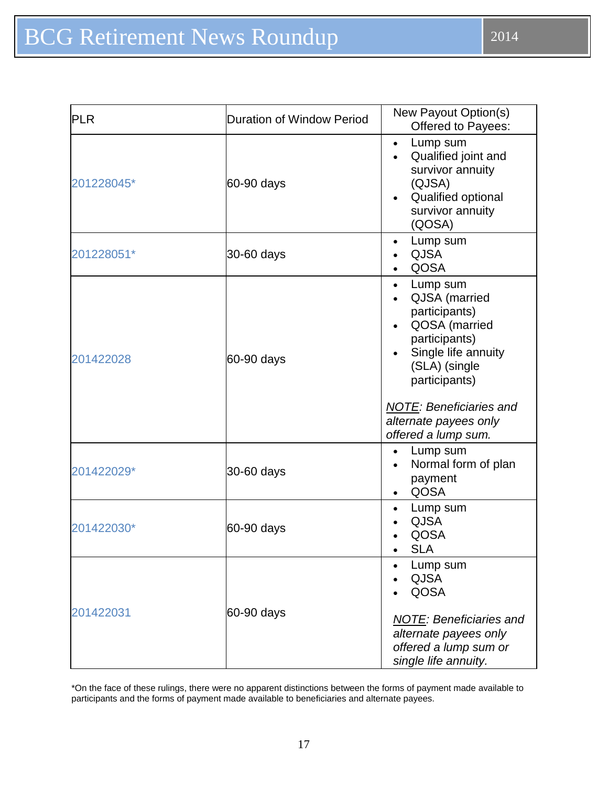| <b>PLR</b> | <b>Duration of Window Period</b> | New Payout Option(s)<br><b>Offered to Payees:</b>                                                                                                                                                                                    |
|------------|----------------------------------|--------------------------------------------------------------------------------------------------------------------------------------------------------------------------------------------------------------------------------------|
| 201228045* | 60-90 days                       | Lump sum<br>$\bullet$<br>Qualified joint and<br>$\bullet$<br>survivor annuity<br>(QJSA)<br>Qualified optional<br>survivor annuity<br>(QOSA)                                                                                          |
| 201228051* | 30-60 days                       | Lump sum<br>$\bullet$<br><b>QJSA</b><br>QOSA                                                                                                                                                                                         |
| 201422028  | 60-90 days                       | Lump sum<br>$\bullet$<br>QJSA (married<br>participants)<br>QOSA (married<br>participants)<br>Single life annuity<br>(SLA) (single<br>participants)<br><b>NOTE: Beneficiaries and</b><br>alternate payees only<br>offered a lump sum. |
| 201422029* | 30-60 days                       | Lump sum<br>$\bullet$<br>Normal form of plan<br>payment<br>QOSA<br>$\bullet$                                                                                                                                                         |
| 201422030* | 60-90 days                       | Lump sum<br>$\bullet$<br><b>QJSA</b><br>QOSA<br><b>SLA</b>                                                                                                                                                                           |
| 201422031  | 60-90 days                       | Lump sum<br><b>QJSA</b><br><b>QOSA</b><br><b>NOTE: Beneficiaries and</b><br>alternate payees only<br>offered a lump sum or<br>single life annuity.                                                                                   |

\*On the face of these rulings, there were no apparent distinctions between the forms of payment made available to participants and the forms of payment made available to beneficiaries and alternate payees.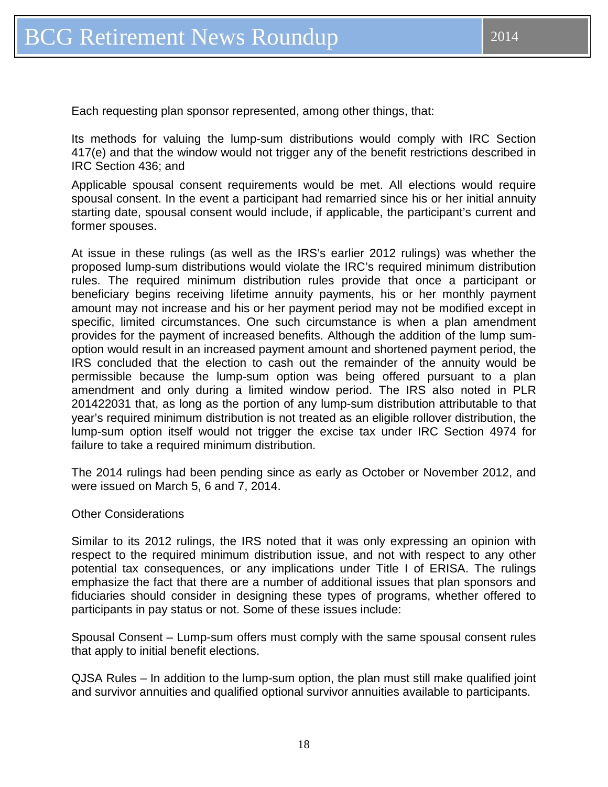Each requesting plan sponsor represented, among other things, that:

Its methods for valuing the lump-sum distributions would comply with IRC Section 417(e) and that the window would not trigger any of the benefit restrictions described in IRC Section 436; and

Applicable spousal consent requirements would be met. All elections would require spousal consent. In the event a participant had remarried since his or her initial annuity starting date, spousal consent would include, if applicable, the participant's current and former spouses.

At issue in these rulings (as well as the IRS's earlier 2012 rulings) was whether the proposed lump-sum distributions would violate the IRC's required minimum distribution rules. The required minimum distribution rules provide that once a participant or beneficiary begins receiving lifetime annuity payments, his or her monthly payment amount may not increase and his or her payment period may not be modified except in specific, limited circumstances. One such circumstance is when a plan amendment provides for the payment of increased benefits. Although the addition of the lump sumoption would result in an increased payment amount and shortened payment period, the IRS concluded that the election to cash out the remainder of the annuity would be permissible because the lump-sum option was being offered pursuant to a plan amendment and only during a limited window period. The IRS also noted in PLR 201422031 that, as long as the portion of any lump-sum distribution attributable to that year's required minimum distribution is not treated as an eligible rollover distribution, the lump-sum option itself would not trigger the excise tax under IRC Section 4974 for failure to take a required minimum distribution.

The 2014 rulings had been pending since as early as October or November 2012, and were issued on March 5, 6 and 7, 2014.

#### Other Considerations

Similar to its 2012 rulings, the IRS noted that it was only expressing an opinion with respect to the required minimum distribution issue, and not with respect to any other potential tax consequences, or any implications under Title I of ERISA. The rulings emphasize the fact that there are a number of additional issues that plan sponsors and fiduciaries should consider in designing these types of programs, whether offered to participants in pay status or not. Some of these issues include:

Spousal Consent – Lump-sum offers must comply with the same spousal consent rules that apply to initial benefit elections.

QJSA Rules – In addition to the lump-sum option, the plan must still make qualified joint and survivor annuities and qualified optional survivor annuities available to participants.